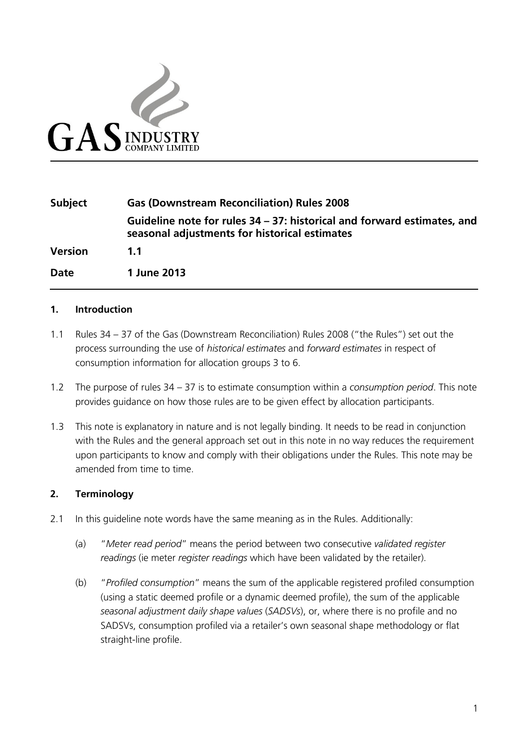

| <b>Subject</b> | <b>Gas (Downstream Reconciliation) Rules 2008</b>                                                                        |
|----------------|--------------------------------------------------------------------------------------------------------------------------|
|                | Guideline note for rules 34 – 37: historical and forward estimates, and<br>seasonal adjustments for historical estimates |
| <b>Version</b> | 1.1                                                                                                                      |
| Date           | 1 June 2013                                                                                                              |

#### **1. Introduction**

- 1.1 Rules 34 37 of the Gas (Downstream Reconciliation) Rules 2008 ("the Rules") set out the process surrounding the use of *historical estimates* and *forward estimates* in respect of consumption information for allocation groups 3 to 6.
- 1.2 The purpose of rules 34 37 is to estimate consumption within a *consumption period*. This note provides guidance on how those rules are to be given effect by allocation participants.
- 1.3 This note is explanatory in nature and is not legally binding. It needs to be read in conjunction with the Rules and the general approach set out in this note in no way reduces the requirement upon participants to know and comply with their obligations under the Rules. This note may be amended from time to time.

### **2. Terminology**

- 2.1 In this guideline note words have the same meaning as in the Rules. Additionally:
	- (a) "*Meter read period*" means the period between two consecutive *validated register readings* (ie meter *register readings* which have been validated by the retailer).
	- (b) "*Profiled consumption*" means the sum of the applicable registered profiled consumption (using a static deemed profile or a dynamic deemed profile), the sum of the applicable *seasonal adjustment daily shape values* (*SADSVs*), or, where there is no profile and no SADSVs, consumption profiled via a retailer's own seasonal shape methodology or flat straight-line profile.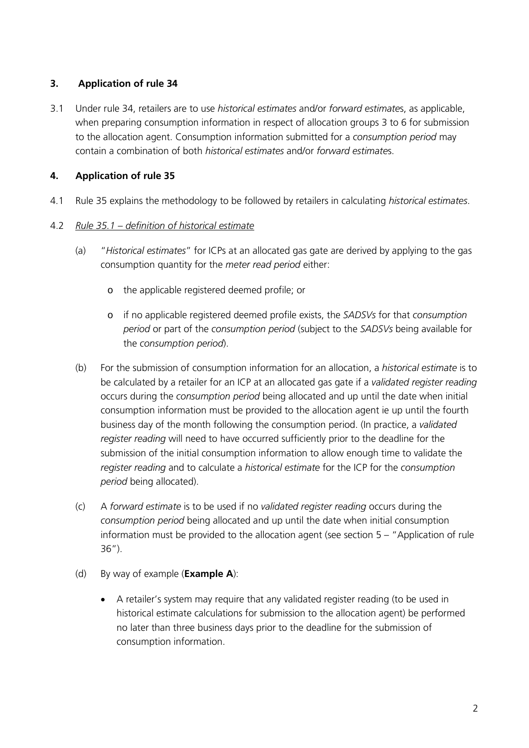### **3. Application of rule 34**

3.1 Under rule 34, retailers are to use *historical estimates* and/or *forward estimate*s, as applicable, when preparing consumption information in respect of allocation groups 3 to 6 for submission to the allocation agent. Consumption information submitted for a *consumption period* may contain a combination of both *historical estimates* and/or *forward estimate*s.

### **4. Application of rule 35**

4.1 Rule 35 explains the methodology to be followed by retailers in calculating *historical estimates*.

### 4.2 *Rule 35.1 – definition of historical estimate*

- (a) "*Historical estimates*" for ICPs at an allocated gas gate are derived by applying to the gas consumption quantity for the *meter read period* either:
	- o the applicable registered deemed profile; or
	- o if no applicable registered deemed profile exists, the *SADSVs* for that *consumption period* or part of the *consumption period* (subject to the *SADSVs* being available for the *consumption period*).
- (b) For the submission of consumption information for an allocation, a *historical estimate* is to be calculated by a retailer for an ICP at an allocated gas gate if a *validated register reading* occurs during the *consumption period* being allocated and up until the date when initial consumption information must be provided to the allocation agent ie up until the fourth business day of the month following the consumption period. (In practice, a *validated register reading* will need to have occurred sufficiently prior to the deadline for the submission of the initial consumption information to allow enough time to validate the *register reading* and to calculate a *historical estimate* for the ICP for the *consumption period* being allocated).
- (c) A *forward estimate* is to be used if no *validated register reading* occurs during the *consumption period* being allocated and up until the date when initial consumption information must be provided to the allocation agent (see section 5 – "Application of rule 36").
- (d) By way of example (**Example A**):
	- A retailer's system may require that any validated register reading (to be used in historical estimate calculations for submission to the allocation agent) be performed no later than three business days prior to the deadline for the submission of consumption information.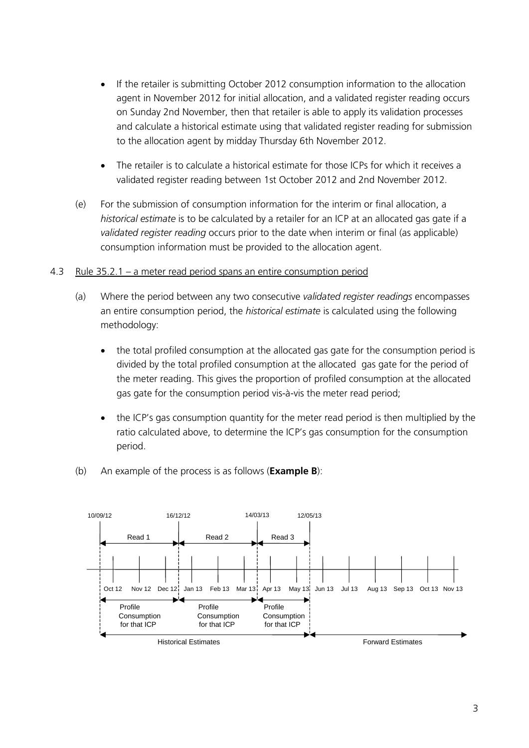- If the retailer is submitting October 2012 consumption information to the allocation agent in November 2012 for initial allocation, and a validated register reading occurs on Sunday 2nd November, then that retailer is able to apply its validation processes and calculate a historical estimate using that validated register reading for submission to the allocation agent by midday Thursday 6th November 2012.
- The retailer is to calculate a historical estimate for those ICPs for which it receives a validated register reading between 1st October 2012 and 2nd November 2012.
- (e) For the submission of consumption information for the interim or final allocation, a *historical estimate* is to be calculated by a retailer for an ICP at an allocated gas gate if a *validated register reading* occurs prior to the date when interim or final (as applicable) consumption information must be provided to the allocation agent.
- 4.3 Rule 35.2.1 a meter read period spans an entire consumption period
	- (a) Where the period between any two consecutive *validated register readings* encompasses an entire consumption period, the *historical estimate* is calculated using the following methodology:
		- the total profiled consumption at the allocated gas gate for the consumption period is divided by the total profiled consumption at the allocated gas gate for the period of the meter reading. This gives the proportion of profiled consumption at the allocated gas gate for the consumption period vis-à-vis the meter read period;
		- the ICP's gas consumption quantity for the meter read period is then multiplied by the ratio calculated above, to determine the ICP's gas consumption for the consumption period.
	- (b) An example of the process is as follows (**Example B**):

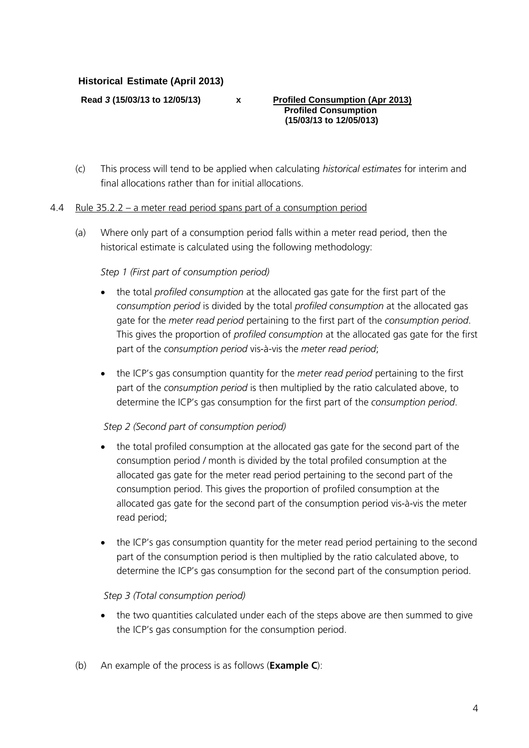**Read** *3* **(15/03/13 to 12/05/13) x Profiled Consumption (Apr 2013)**

**Profiled Consumption (15/03/13 to 12/05/013)**

(c) This process will tend to be applied when calculating *historical estimates* for interim and final allocations rather than for initial allocations.

#### 4.4 Rule 35.2.2 – a meter read period spans part of a consumption period

(a) Where only part of a consumption period falls within a meter read period, then the historical estimate is calculated using the following methodology:

#### *Step 1 (First part of consumption period)*

- the total *profiled consumption* at the allocated gas gate for the first part of the *consumption period* is divided by the total *profiled consumption* at the allocated gas gate for the *meter read period* pertaining to the first part of the *consumption period*. This gives the proportion of *profiled consumption* at the allocated gas gate for the first part of the *consumption period* vis-à-vis the *meter read period*;
- the ICP's gas consumption quantity for the *meter read period* pertaining to the first part of the *consumption period* is then multiplied by the ratio calculated above, to determine the ICP's gas consumption for the first part of the *consumption period*.

### *Step 2 (Second part of consumption period)*

- the total profiled consumption at the allocated gas gate for the second part of the consumption period / month is divided by the total profiled consumption at the allocated gas gate for the meter read period pertaining to the second part of the consumption period. This gives the proportion of profiled consumption at the allocated gas gate for the second part of the consumption period vis-à-vis the meter read period;
- the ICP's gas consumption quantity for the meter read period pertaining to the second part of the consumption period is then multiplied by the ratio calculated above, to determine the ICP's gas consumption for the second part of the consumption period.

#### *Step 3 (Total consumption period)*

- the two quantities calculated under each of the steps above are then summed to give the ICP's gas consumption for the consumption period.
- (b) An example of the process is as follows (**Example C**):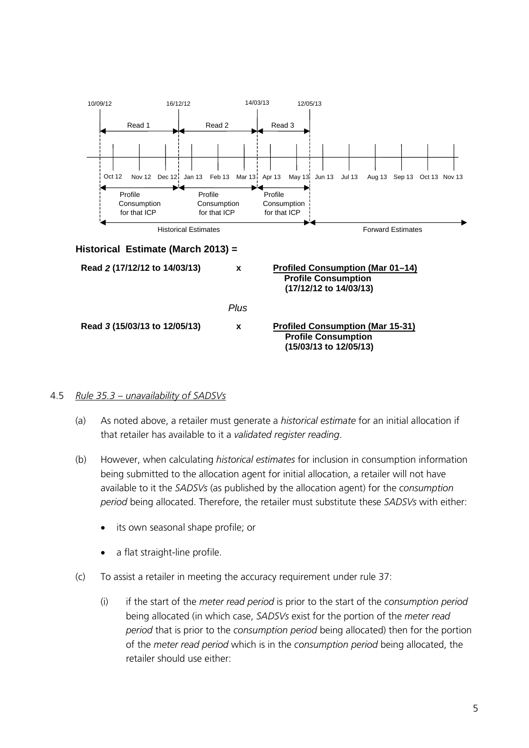

### 4.5 *Rule 35.3 – unavailability of SADSVs*

- (a) As noted above, a retailer must generate a *historical estimate* for an initial allocation if that retailer has available to it a *validated register reading*.
- (b) However, when calculating *historical estimates* for inclusion in consumption information being submitted to the allocation agent for initial allocation, a retailer will not have available to it the *SADSVs* (as published by the allocation agent) for the *consumption period* being allocated. Therefore, the retailer must substitute these *SADSVs* with either:
	- its own seasonal shape profile; or
	- a flat straight-line profile.
- (c) To assist a retailer in meeting the accuracy requirement under rule 37:
	- (i) if the start of the *meter read period* is prior to the start of the *consumption period* being allocated (in which case, *SADSVs* exist for the portion of the *meter read period* that is prior to the *consumption period* being allocated) then for the portion of the *meter read period* which is in the *consumption period* being allocated, the retailer should use either: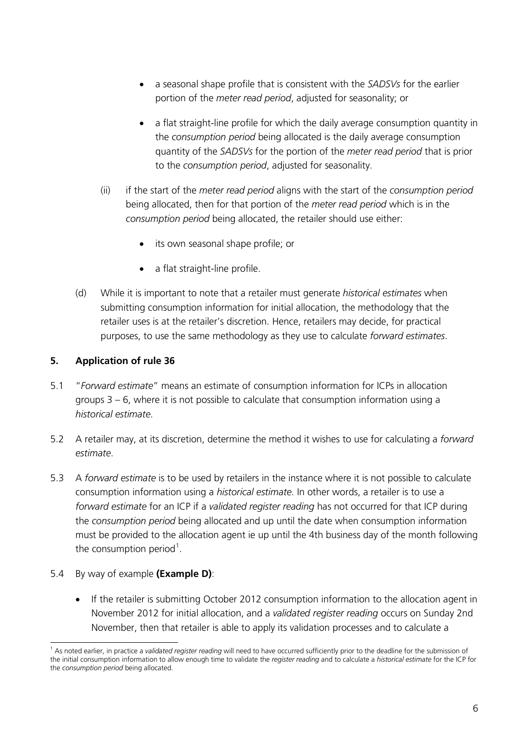- a seasonal shape profile that is consistent with the *SADSVs* for the earlier portion of the *meter read period*, adjusted for seasonality; or
- a flat straight-line profile for which the daily average consumption quantity in the *consumption period* being allocated is the daily average consumption quantity of the *SADSVs* for the portion of the *meter read period* that is prior to the *consumption period*, adjusted for seasonality.
- (ii) if the start of the *meter read period* aligns with the start of the *consumption period* being allocated, then for that portion of the *meter read period* which is in the *consumption period* being allocated, the retailer should use either:
	- its own seasonal shape profile; or
	- a flat straight-line profile.
- (d) While it is important to note that a retailer must generate *historical estimates* when submitting consumption information for initial allocation, the methodology that the retailer uses is at the retailer's discretion. Hence, retailers may decide, for practical purposes, to use the same methodology as they use to calculate *forward estimates*.

### **5. Application of rule 36**

- 5.1 "*Forward estimate*" means an estimate of consumption information for ICPs in allocation groups 3 – 6, where it is not possible to calculate that consumption information using a *historical estimate*.
- 5.2 A retailer may, at its discretion, determine the method it wishes to use for calculating a *forward estimate*.
- 5.3 A *forward estimate* is to be used by retailers in the instance where it is not possible to calculate consumption information using a *historical estimate*. In other words, a retailer is to use a *forward estimate* for an ICP if a *validated register reading* has not occurred for that ICP during the *consumption period* being allocated and up until the date when consumption information must be provided to the allocation agent ie up until the 4th business day of the month following the consumption period<sup>[1](#page-5-0)</sup>.

### 5.4 By way of example **(Example D)**:

• If the retailer is submitting October 2012 consumption information to the allocation agent in November 2012 for initial allocation, and a *validated register reading* occurs on Sunday 2nd November, then that retailer is able to apply its validation processes and to calculate a

<span id="page-5-0"></span> <sup>1</sup> As noted earlier, in practice a *validated register reading* will need to have occurred sufficiently prior to the deadline for the submission of the initial consumption information to allow enough time to validate the *register reading* and to calculate a *historical estimate* for the ICP for the *consumption period* being allocated.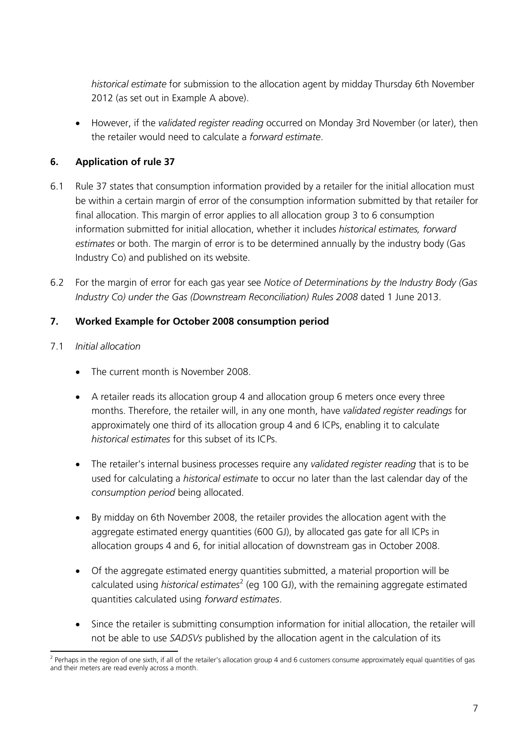*historical estimate* for submission to the allocation agent by midday Thursday 6th November 2012 (as set out in Example A above).

• However, if the *validated register reading* occurred on Monday 3rd November (or later), then the retailer would need to calculate a *forward estimate*.

# **6. Application of rule 37**

- 6.1 Rule 37 states that consumption information provided by a retailer for the initial allocation must be within a certain margin of error of the consumption information submitted by that retailer for final allocation. This margin of error applies to all allocation group 3 to 6 consumption information submitted for initial allocation, whether it includes *historical estimates, forward estimates* or both. The margin of error is to be determined annually by the industry body (Gas Industry Co) and published on its website.
- 6.2 For the margin of error for each gas year see *Notice of Determinations by the Industry Body (Gas Industry Co) under the Gas (Downstream Reconciliation) Rules 2008* dated 1 June 2013.

# **7. Worked Example for October 2008 consumption period**

### 7.1 *Initial allocation*

- The current month is November 2008.
- A retailer reads its allocation group 4 and allocation group 6 meters once every three months. Therefore, the retailer will, in any one month, have *validated register readings* for approximately one third of its allocation group 4 and 6 ICPs, enabling it to calculate *historical estimates* for this subset of its ICPs.
- The retailer's internal business processes require any *validated register reading* that is to be used for calculating a *historical estimate* to occur no later than the last calendar day of the *consumption period* being allocated.
- By midday on 6th November 2008, the retailer provides the allocation agent with the aggregate estimated energy quantities (600 GJ), by allocated gas gate for all ICPs in allocation groups 4 and 6, for initial allocation of downstream gas in October 2008.
- Of the aggregate estimated energy quantities submitted, a material proportion will be calculated using *historical estimates*[2](#page-6-0) (eg 100 GJ), with the remaining aggregate estimated quantities calculated using *forward estimates*.
- Since the retailer is submitting consumption information for initial allocation, the retailer will not be able to use *SADSVs* published by the allocation agent in the calculation of its

<span id="page-6-0"></span><sup>&</sup>lt;sup>2</sup> Perhaps in the region of one sixth, if all of the retailer's allocation group 4 and 6 customers consume approximately equal quantities of gas and their meters are read evenly across a month.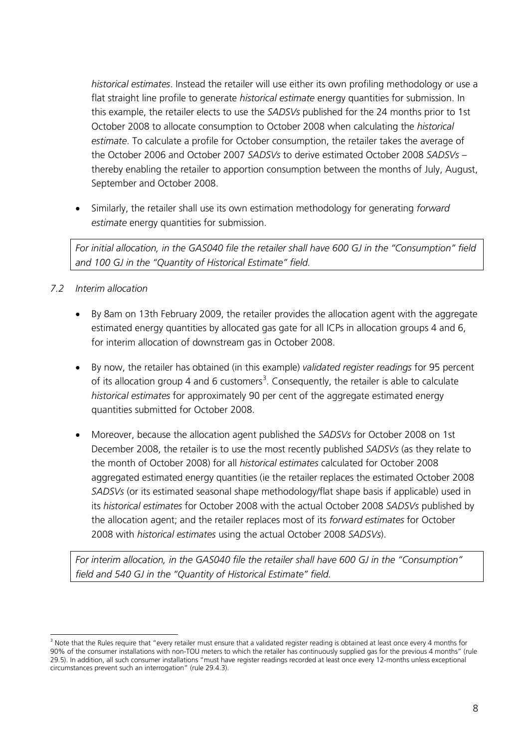*historical estimates*. Instead the retailer will use either its own profiling methodology or use a flat straight line profile to generate *historical estimate* energy quantities for submission. In this example, the retailer elects to use the *SADSVs* published for the 24 months prior to 1st October 2008 to allocate consumption to October 2008 when calculating the *historical estimate*. To calculate a profile for October consumption, the retailer takes the average of the October 2006 and October 2007 *SADSVs* to derive estimated October 2008 *SADSVs –* thereby enabling the retailer to apportion consumption between the months of July, August, September and October 2008.

• Similarly, the retailer shall use its own estimation methodology for generating *forward estimate* energy quantities for submission.

*For initial allocation, in the GAS040 file the retailer shall have 600 GJ in the "Consumption" field and 100 GJ in the "Quantity of Historical Estimate" field.*

# *7.2 Interim allocation*

- By 8am on 13th February 2009, the retailer provides the allocation agent with the aggregate estimated energy quantities by allocated gas gate for all ICPs in allocation groups 4 and 6, for interim allocation of downstream gas in October 2008.
- By now, the retailer has obtained (in this example) *validated register readings* for 95 percent of its allocation group 4 and 6 customers<sup>[3](#page-7-0)</sup>. Consequently, the retailer is able to calculate *historical estimates* for approximately 90 per cent of the aggregate estimated energy quantities submitted for October 2008.
- Moreover, because the allocation agent published the *SADSVs* for October 2008 on 1st December 2008, the retailer is to use the most recently published *SADSVs* (as they relate to the month of October 2008) for all *historical estimates* calculated for October 2008 aggregated estimated energy quantities (ie the retailer replaces the estimated October 2008 *SADSVs* (or its estimated seasonal shape methodology/flat shape basis if applicable) used in its *historical estimates* for October 2008 with the actual October 2008 *SADSVs* published by the allocation agent; and the retailer replaces most of its *forward estimates* for October 2008 with *historical estimates* using the actual October 2008 *SADSVs*).

*For interim allocation, in the GAS040 file the retailer shall have 600 GJ in the "Consumption" field and 540 GJ in the "Quantity of Historical Estimate" field.*

<span id="page-7-0"></span><sup>&</sup>lt;sup>3</sup> Note that the Rules require that "every retailer must ensure that a validated register reading is obtained at least once every 4 months for 90% of the consumer installations with non-TOU meters to which the retailer has continuously supplied gas for the previous 4 months" (rule 29.5). In addition, all such consumer installations "must have register readings recorded at least once every 12-months unless exceptional circumstances prevent such an interrogation" (rule 29.4.3).